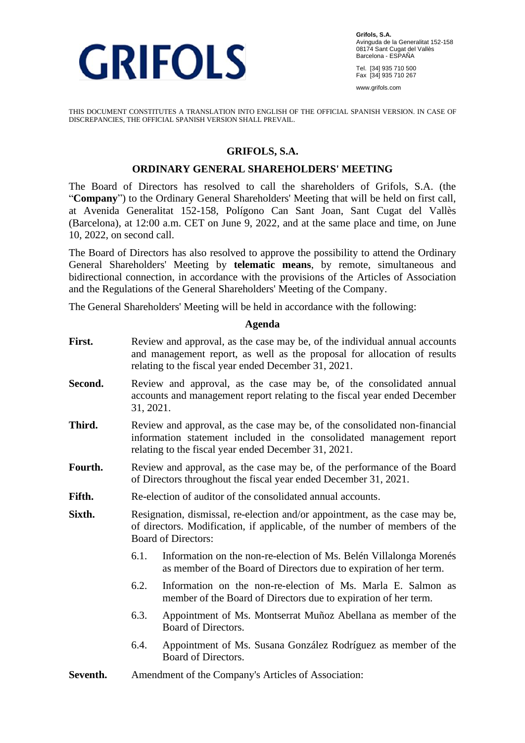

**Grifols, S.A.** Avinguda de la Generalitat 152-158 08174 Sant Cugat del Vallès Barcelona - ESPAÑA

Tel. [34] 935 710 500 Fax [34] 935 710 267

www.grifols.com

THIS DOCUMENT CONSTITUTES A TRANSLATION INTO ENGLISH OF THE OFFICIAL SPANISH VERSION. IN CASE OF DISCREPANCIES, THE OFFICIAL SPANISH VERSION SHALL PREVAIL.

#### **GRIFOLS, S.A.**

#### **ORDINARY GENERAL SHAREHOLDERS' MEETING**

The Board of Directors has resolved to call the shareholders of Grifols, S.A. (the "**Company**") to the Ordinary General Shareholders' Meeting that will be held on first call, at Avenida Generalitat 152-158, Polígono Can Sant Joan, Sant Cugat del Vallès (Barcelona), at 12:00 a.m. CET on June 9, 2022, and at the same place and time, on June 10, 2022, on second call.

The Board of Directors has also resolved to approve the possibility to attend the Ordinary General Shareholders' Meeting by **telematic means**, by remote, simultaneous and bidirectional connection, in accordance with the provisions of the Articles of Association and the Regulations of the General Shareholders' Meeting of the Company.

The General Shareholders' Meeting will be held in accordance with the following:

#### **Agenda**

- First. Review and approval, as the case may be, of the individual annual accounts and management report, as well as the proposal for allocation of results relating to the fiscal year ended December 31, 2021. Second. Review and approval, as the case may be, of the consolidated annual accounts and management report relating to the fiscal year ended December 31, 2021. **Third.** Review and approval, as the case may be, of the consolidated non-financial information statement included in the consolidated management report relating to the fiscal year ended December 31, 2021. Fourth. Review and approval, as the case may be, of the performance of the Board of Directors throughout the fiscal year ended December 31, 2021. **Fifth.** Re-election of auditor of the consolidated annual accounts. **Sixth.** Resignation, dismissal, re-election and/or appointment, as the case may be, of directors. Modification, if applicable, of the number of members of the Board of Directors: 6.1. Information on the non-re-election of Ms. Belén Villalonga Morenés as member of the Board of Directors due to expiration of her term. 6.2. Information on the non-re-election of Ms. Marla E. Salmon as member of the Board of Directors due to expiration of her term. 6.3. Appointment of Ms. Montserrat Muñoz Abellana as member of the Board of Directors.
	- 6.4. Appointment of Ms. Susana González Rodríguez as member of the Board of Directors.
- **Seventh.** Amendment of the Company's Articles of Association: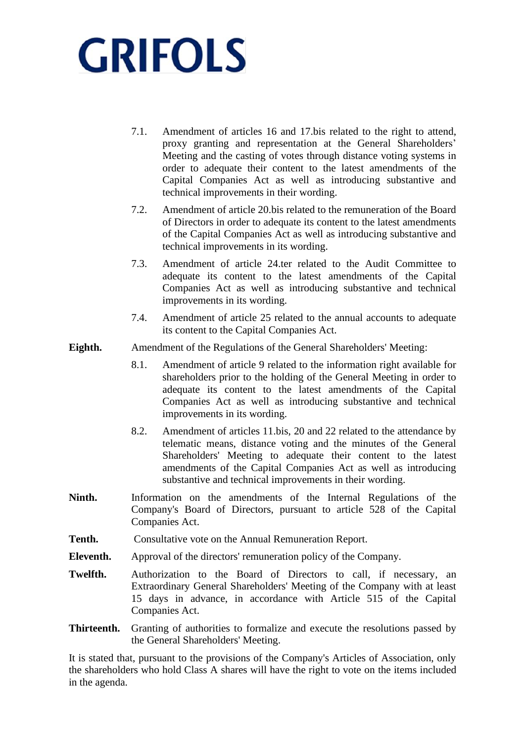- 7.1. Amendment of articles 16 and 17.bis related to the right to attend, proxy granting and representation at the General Shareholders' Meeting and the casting of votes through distance voting systems in order to adequate their content to the latest amendments of the Capital Companies Act as well as introducing substantive and technical improvements in their wording.
- 7.2. Amendment of article 20.bis related to the remuneration of the Board of Directors in order to adequate its content to the latest amendments of the Capital Companies Act as well as introducing substantive and technical improvements in its wording.
- 7.3. Amendment of article 24.ter related to the Audit Committee to adequate its content to the latest amendments of the Capital Companies Act as well as introducing substantive and technical improvements in its wording.
- 7.4. Amendment of article 25 related to the annual accounts to adequate its content to the Capital Companies Act.
- **Eighth.** Amendment of the Regulations of the General Shareholders' Meeting:
	- 8.1. Amendment of article 9 related to the information right available for shareholders prior to the holding of the General Meeting in order to adequate its content to the latest amendments of the Capital Companies Act as well as introducing substantive and technical improvements in its wording.
	- 8.2. Amendment of articles 11.bis, 20 and 22 related to the attendance by telematic means, distance voting and the minutes of the General Shareholders' Meeting to adequate their content to the latest amendments of the Capital Companies Act as well as introducing substantive and technical improvements in their wording.
- **Ninth.** Information on the amendments of the Internal Regulations of the Company's Board of Directors, pursuant to article 528 of the Capital Companies Act.
- **Tenth.** Consultative vote on the Annual Remuneration Report.
- **Eleventh.** Approval of the directors' remuneration policy of the Company.
- **Twelfth.** Authorization to the Board of Directors to call, if necessary, an Extraordinary General Shareholders' Meeting of the Company with at least 15 days in advance, in accordance with Article 515 of the Capital Companies Act.
- **Thirteenth.** Granting of authorities to formalize and execute the resolutions passed by the General Shareholders' Meeting.

It is stated that, pursuant to the provisions of the Company's Articles of Association, only the shareholders who hold Class A shares will have the right to vote on the items included in the agenda.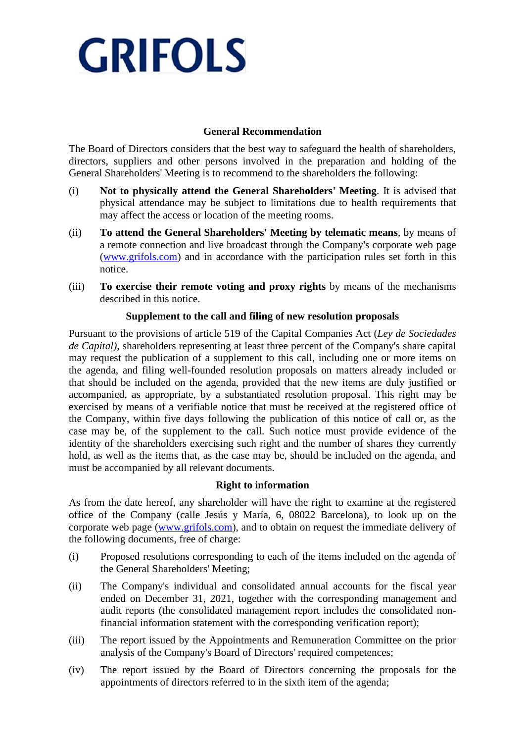## **General Recommendation**

The Board of Directors considers that the best way to safeguard the health of shareholders, directors, suppliers and other persons involved in the preparation and holding of the General Shareholders' Meeting is to recommend to the shareholders the following:

- (i) **Not to physically attend the General Shareholders' Meeting**. It is advised that physical attendance may be subject to limitations due to health requirements that may affect the access or location of the meeting rooms.
- (ii) **To attend the General Shareholders' Meeting by telematic means**, by means of a remote connection and live broadcast through the Company's corporate web page [\(www.grifols.com\)](http://www.grifols.com/) and in accordance with the participation rules set forth in this notice.
- (iii) **To exercise their remote voting and proxy rights** by means of the mechanisms described in this notice.

## **Supplement to the call and filing of new resolution proposals**

Pursuant to the provisions of article 519 of the Capital Companies Act (*Ley de Sociedades de Capital)*, shareholders representing at least three percent of the Company's share capital may request the publication of a supplement to this call, including one or more items on the agenda, and filing well-founded resolution proposals on matters already included or that should be included on the agenda, provided that the new items are duly justified or accompanied, as appropriate, by a substantiated resolution proposal. This right may be exercised by means of a verifiable notice that must be received at the registered office of the Company, within five days following the publication of this notice of call or, as the case may be, of the supplement to the call. Such notice must provide evidence of the identity of the shareholders exercising such right and the number of shares they currently hold, as well as the items that, as the case may be, should be included on the agenda, and must be accompanied by all relevant documents.

## **Right to information**

As from the date hereof, any shareholder will have the right to examine at the registered office of the Company (calle Jesús y María, 6, 08022 Barcelona), to look up on the corporate web page [\(www.grifols.com\)](http://www.grifols.com/), and to obtain on request the immediate delivery of the following documents, free of charge:

- (i) Proposed resolutions corresponding to each of the items included on the agenda of the General Shareholders' Meeting;
- (ii) The Company's individual and consolidated annual accounts for the fiscal year ended on December 31, 2021, together with the corresponding management and audit reports (the consolidated management report includes the consolidated nonfinancial information statement with the corresponding verification report);
- (iii) The report issued by the Appointments and Remuneration Committee on the prior analysis of the Company's Board of Directors' required competences;
- (iv) The report issued by the Board of Directors concerning the proposals for the appointments of directors referred to in the sixth item of the agenda;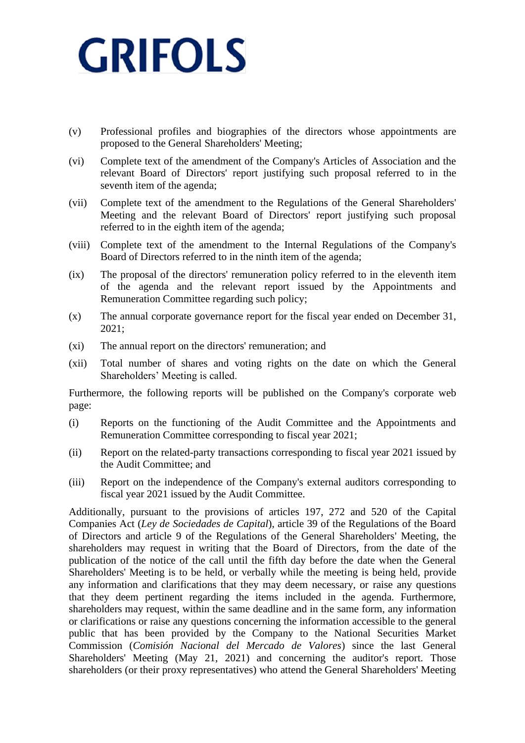- (v) Professional profiles and biographies of the directors whose appointments are proposed to the General Shareholders' Meeting;
- (vi) Complete text of the amendment of the Company's Articles of Association and the relevant Board of Directors' report justifying such proposal referred to in the seventh item of the agenda;
- (vii) Complete text of the amendment to the Regulations of the General Shareholders' Meeting and the relevant Board of Directors' report justifying such proposal referred to in the eighth item of the agenda;
- (viii) Complete text of the amendment to the Internal Regulations of the Company's Board of Directors referred to in the ninth item of the agenda;
- (ix) The proposal of the directors' remuneration policy referred to in the eleventh item of the agenda and the relevant report issued by the Appointments and Remuneration Committee regarding such policy;
- (x) The annual corporate governance report for the fiscal year ended on December 31, 2021;
- (xi) The annual report on the directors' remuneration; and
- (xii) Total number of shares and voting rights on the date on which the General Shareholders' Meeting is called.

Furthermore, the following reports will be published on the Company's corporate web page:

- (i) Reports on the functioning of the Audit Committee and the Appointments and Remuneration Committee corresponding to fiscal year 2021;
- (ii) Report on the related-party transactions corresponding to fiscal year 2021 issued by the Audit Committee; and
- (iii) Report on the independence of the Company's external auditors corresponding to fiscal year 2021 issued by the Audit Committee.

Additionally, pursuant to the provisions of articles 197, 272 and 520 of the Capital Companies Act (*Ley de Sociedades de Capital*), article 39 of the Regulations of the Board of Directors and article 9 of the Regulations of the General Shareholders' Meeting, the shareholders may request in writing that the Board of Directors, from the date of the publication of the notice of the call until the fifth day before the date when the General Shareholders' Meeting is to be held, or verbally while the meeting is being held, provide any information and clarifications that they may deem necessary, or raise any questions that they deem pertinent regarding the items included in the agenda. Furthermore, shareholders may request, within the same deadline and in the same form, any information or clarifications or raise any questions concerning the information accessible to the general public that has been provided by the Company to the National Securities Market Commission (*Comisión Nacional del Mercado de Valores*) since the last General Shareholders' Meeting (May 21, 2021) and concerning the auditor's report. Those shareholders (or their proxy representatives) who attend the General Shareholders' Meeting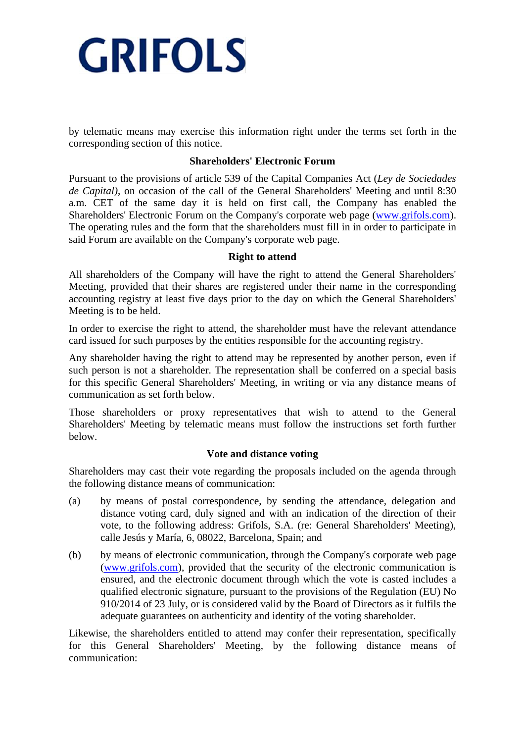

by telematic means may exercise this information right under the terms set forth in the corresponding section of this notice.

#### **Shareholders' Electronic Forum**

Pursuant to the provisions of article 539 of the Capital Companies Act (*Ley de Sociedades de Capital)*, on occasion of the call of the General Shareholders' Meeting and until 8:30 a.m. CET of the same day it is held on first call, the Company has enabled the Shareholders' Electronic Forum on the Company's corporate web page [\(www.grifols.com\)](http://www.grifols.com/). The operating rules and the form that the shareholders must fill in in order to participate in said Forum are available on the Company's corporate web page.

#### **Right to attend**

All shareholders of the Company will have the right to attend the General Shareholders' Meeting, provided that their shares are registered under their name in the corresponding accounting registry at least five days prior to the day on which the General Shareholders' Meeting is to be held.

In order to exercise the right to attend, the shareholder must have the relevant attendance card issued for such purposes by the entities responsible for the accounting registry.

Any shareholder having the right to attend may be represented by another person, even if such person is not a shareholder. The representation shall be conferred on a special basis for this specific General Shareholders' Meeting, in writing or via any distance means of communication as set forth below.

Those shareholders or proxy representatives that wish to attend to the General Shareholders' Meeting by telematic means must follow the instructions set forth further below.

#### **Vote and distance voting**

Shareholders may cast their vote regarding the proposals included on the agenda through the following distance means of communication:

- (a) by means of postal correspondence, by sending the attendance, delegation and distance voting card, duly signed and with an indication of the direction of their vote, to the following address: Grifols, S.A. (re: General Shareholders' Meeting), calle Jesús y María, 6, 08022, Barcelona, Spain; and
- (b) by means of electronic communication, through the Company's corporate web page [\(www.grifols.com\)](http://www.grifols.com/), provided that the security of the electronic communication is ensured, and the electronic document through which the vote is casted includes a qualified electronic signature, pursuant to the provisions of the Regulation (EU) No 910/2014 of 23 July, or is considered valid by the Board of Directors as it fulfils the adequate guarantees on authenticity and identity of the voting shareholder.

Likewise, the shareholders entitled to attend may confer their representation, specifically for this General Shareholders' Meeting, by the following distance means of communication: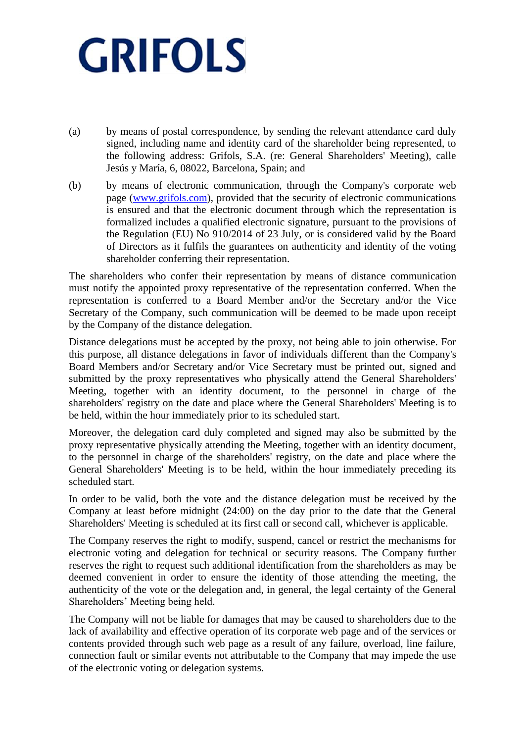- (a) by means of postal correspondence, by sending the relevant attendance card duly signed, including name and identity card of the shareholder being represented, to the following address: Grifols, S.A. (re: General Shareholders' Meeting), calle Jesús y María, 6, 08022, Barcelona, Spain; and
- (b) by means of electronic communication, through the Company's corporate web page [\(www.grifols.com\)](http://www.grifols.com/), provided that the security of electronic communications is ensured and that the electronic document through which the representation is formalized includes a qualified electronic signature, pursuant to the provisions of the Regulation (EU) No 910/2014 of 23 July, or is considered valid by the Board of Directors as it fulfils the guarantees on authenticity and identity of the voting shareholder conferring their representation.

The shareholders who confer their representation by means of distance communication must notify the appointed proxy representative of the representation conferred. When the representation is conferred to a Board Member and/or the Secretary and/or the Vice Secretary of the Company, such communication will be deemed to be made upon receipt by the Company of the distance delegation.

Distance delegations must be accepted by the proxy, not being able to join otherwise. For this purpose, all distance delegations in favor of individuals different than the Company's Board Members and/or Secretary and/or Vice Secretary must be printed out, signed and submitted by the proxy representatives who physically attend the General Shareholders' Meeting, together with an identity document, to the personnel in charge of the shareholders' registry on the date and place where the General Shareholders' Meeting is to be held, within the hour immediately prior to its scheduled start.

Moreover, the delegation card duly completed and signed may also be submitted by the proxy representative physically attending the Meeting, together with an identity document, to the personnel in charge of the shareholders' registry, on the date and place where the General Shareholders' Meeting is to be held, within the hour immediately preceding its scheduled start.

In order to be valid, both the vote and the distance delegation must be received by the Company at least before midnight (24:00) on the day prior to the date that the General Shareholders' Meeting is scheduled at its first call or second call, whichever is applicable.

The Company reserves the right to modify, suspend, cancel or restrict the mechanisms for electronic voting and delegation for technical or security reasons. The Company further reserves the right to request such additional identification from the shareholders as may be deemed convenient in order to ensure the identity of those attending the meeting, the authenticity of the vote or the delegation and, in general, the legal certainty of the General Shareholders' Meeting being held.

The Company will not be liable for damages that may be caused to shareholders due to the lack of availability and effective operation of its corporate web page and of the services or contents provided through such web page as a result of any failure, overload, line failure, connection fault or similar events not attributable to the Company that may impede the use of the electronic voting or delegation systems.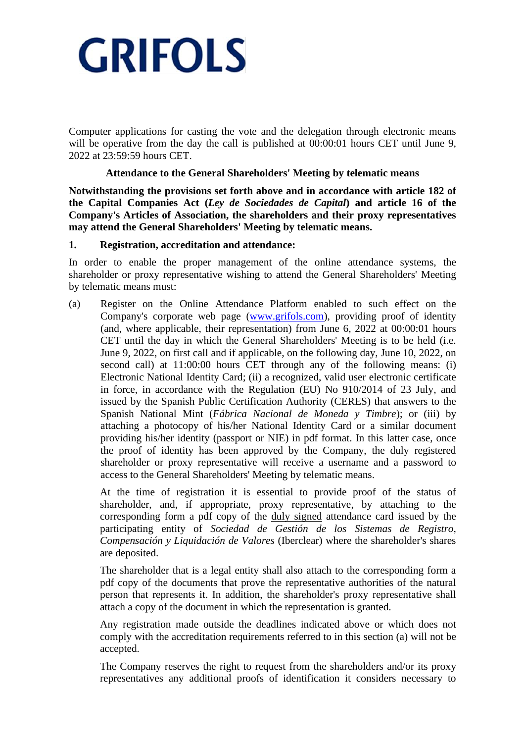Computer applications for casting the vote and the delegation through electronic means will be operative from the day the call is published at 00:00:01 hours CET until June 9. 2022 at 23:59:59 hours CET.

#### **Attendance to the General Shareholders' Meeting by telematic means**

**Notwithstanding the provisions set forth above and in accordance with article 182 of the Capital Companies Act (***Ley de Sociedades de Capital***) and article 16 of the Company's Articles of Association, the shareholders and their proxy representatives may attend the General Shareholders' Meeting by telematic means.**

#### **1. Registration, accreditation and attendance:**

In order to enable the proper management of the online attendance systems, the shareholder or proxy representative wishing to attend the General Shareholders' Meeting by telematic means must:

(a) Register on the Online Attendance Platform enabled to such effect on the Company's corporate web page [\(www.grifols.com\)](http://www.grifols.com/), providing proof of identity (and, where applicable, their representation) from June 6, 2022 at 00:00:01 hours CET until the day in which the General Shareholders' Meeting is to be held (i.e. June 9, 2022, on first call and if applicable, on the following day, June 10, 2022, on second call) at 11:00:00 hours CET through any of the following means: (i) Electronic National Identity Card; (ii) a recognized, valid user electronic certificate in force, in accordance with the Regulation (EU) No 910/2014 of 23 July, and issued by the Spanish Public Certification Authority (CERES) that answers to the Spanish National Mint (*Fábrica Nacional de Moneda y Timbre*); or (iii) by attaching a photocopy of his/her National Identity Card or a similar document providing his/her identity (passport or NIE) in pdf format. In this latter case, once the proof of identity has been approved by the Company, the duly registered shareholder or proxy representative will receive a username and a password to access to the General Shareholders' Meeting by telematic means.

At the time of registration it is essential to provide proof of the status of shareholder, and, if appropriate, proxy representative, by attaching to the corresponding form a pdf copy of the duly signed attendance card issued by the participating entity of *Sociedad de Gestión de los Sistemas de Registro, Compensación y Liquidación de Valores* (Iberclear) where the shareholder's shares are deposited.

The shareholder that is a legal entity shall also attach to the corresponding form a pdf copy of the documents that prove the representative authorities of the natural person that represents it. In addition, the shareholder's proxy representative shall attach a copy of the document in which the representation is granted.

Any registration made outside the deadlines indicated above or which does not comply with the accreditation requirements referred to in this section (a) will not be accepted.

The Company reserves the right to request from the shareholders and/or its proxy representatives any additional proofs of identification it considers necessary to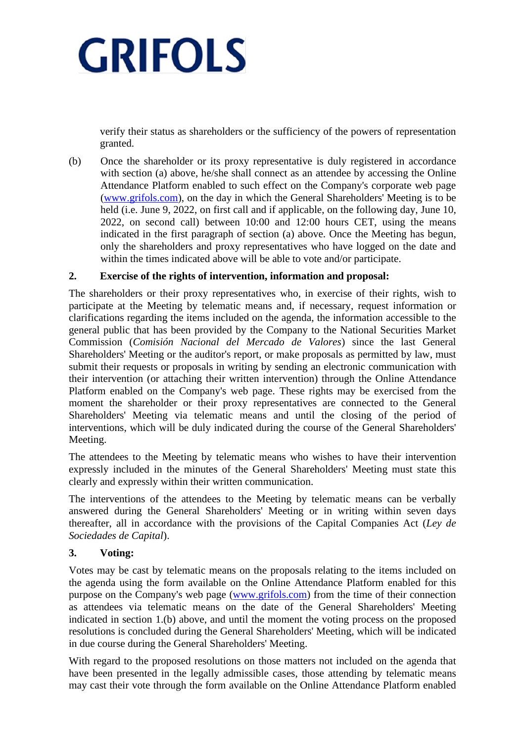verify their status as shareholders or the sufficiency of the powers of representation granted.

(b) Once the shareholder or its proxy representative is duly registered in accordance with section (a) above, he/she shall connect as an attendee by accessing the Online Attendance Platform enabled to such effect on the Company's corporate web page [\(www.grifols.com\)](http://www.grifols.com/), on the day in which the General Shareholders' Meeting is to be held (i.e. June 9, 2022, on first call and if applicable, on the following day, June 10, 2022, on second call) between 10:00 and 12:00 hours CET, using the means indicated in the first paragraph of section (a) above. Once the Meeting has begun, only the shareholders and proxy representatives who have logged on the date and within the times indicated above will be able to vote and/or participate.

## **2. Exercise of the rights of intervention, information and proposal:**

The shareholders or their proxy representatives who, in exercise of their rights, wish to participate at the Meeting by telematic means and, if necessary, request information or clarifications regarding the items included on the agenda, the information accessible to the general public that has been provided by the Company to the National Securities Market Commission (*Comisión Nacional del Mercado de Valores*) since the last General Shareholders' Meeting or the auditor's report, or make proposals as permitted by law, must submit their requests or proposals in writing by sending an electronic communication with their intervention (or attaching their written intervention) through the Online Attendance Platform enabled on the Company's web page. These rights may be exercised from the moment the shareholder or their proxy representatives are connected to the General Shareholders' Meeting via telematic means and until the closing of the period of interventions, which will be duly indicated during the course of the General Shareholders' Meeting.

The attendees to the Meeting by telematic means who wishes to have their intervention expressly included in the minutes of the General Shareholders' Meeting must state this clearly and expressly within their written communication.

The interventions of the attendees to the Meeting by telematic means can be verbally answered during the General Shareholders' Meeting or in writing within seven days thereafter, all in accordance with the provisions of the Capital Companies Act (*Ley de Sociedades de Capital*).

## **3. Voting:**

Votes may be cast by telematic means on the proposals relating to the items included on the agenda using the form available on the Online Attendance Platform enabled for this purpose on the Company's web page [\(www.grifols.com\)](http://www.grifols.com/) from the time of their connection as attendees via telematic means on the date of the General Shareholders' Meeting indicated in section 1.(b) above, and until the moment the voting process on the proposed resolutions is concluded during the General Shareholders' Meeting, which will be indicated in due course during the General Shareholders' Meeting.

With regard to the proposed resolutions on those matters not included on the agenda that have been presented in the legally admissible cases, those attending by telematic means may cast their vote through the form available on the Online Attendance Platform enabled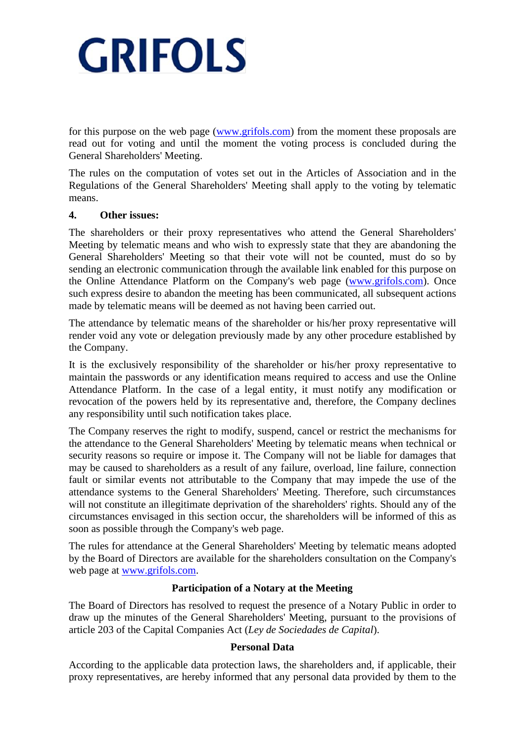for this purpose on the web page [\(www.grifols.com\)](http://www.grifols.com/) from the moment these proposals are read out for voting and until the moment the voting process is concluded during the General Shareholders' Meeting.

The rules on the computation of votes set out in the Articles of Association and in the Regulations of the General Shareholders' Meeting shall apply to the voting by telematic means.

## **4. Other issues:**

The shareholders or their proxy representatives who attend the General Shareholders' Meeting by telematic means and who wish to expressly state that they are abandoning the General Shareholders' Meeting so that their vote will not be counted, must do so by sending an electronic communication through the available link enabled for this purpose on the Online Attendance Platform on the Company's web page [\(www.grifols.com\)](http://www.grifols.com/). Once such express desire to abandon the meeting has been communicated, all subsequent actions made by telematic means will be deemed as not having been carried out.

The attendance by telematic means of the shareholder or his/her proxy representative will render void any vote or delegation previously made by any other procedure established by the Company.

It is the exclusively responsibility of the shareholder or his/her proxy representative to maintain the passwords or any identification means required to access and use the Online Attendance Platform. In the case of a legal entity, it must notify any modification or revocation of the powers held by its representative and, therefore, the Company declines any responsibility until such notification takes place.

The Company reserves the right to modify, suspend, cancel or restrict the mechanisms for the attendance to the General Shareholders' Meeting by telematic means when technical or security reasons so require or impose it. The Company will not be liable for damages that may be caused to shareholders as a result of any failure, overload, line failure, connection fault or similar events not attributable to the Company that may impede the use of the attendance systems to the General Shareholders' Meeting. Therefore, such circumstances will not constitute an illegitimate deprivation of the shareholders' rights. Should any of the circumstances envisaged in this section occur, the shareholders will be informed of this as soon as possible through the Company's web page.

The rules for attendance at the General Shareholders' Meeting by telematic means adopted by the Board of Directors are available for the shareholders consultation on the Company's web page at [www.grifols.com.](http://www.grifols.com/)

## **Participation of a Notary at the Meeting**

The Board of Directors has resolved to request the presence of a Notary Public in order to draw up the minutes of the General Shareholders' Meeting, pursuant to the provisions of article 203 of the Capital Companies Act (*Ley de Sociedades de Capital*).

## **Personal Data**

According to the applicable data protection laws, the shareholders and, if applicable, their proxy representatives, are hereby informed that any personal data provided by them to the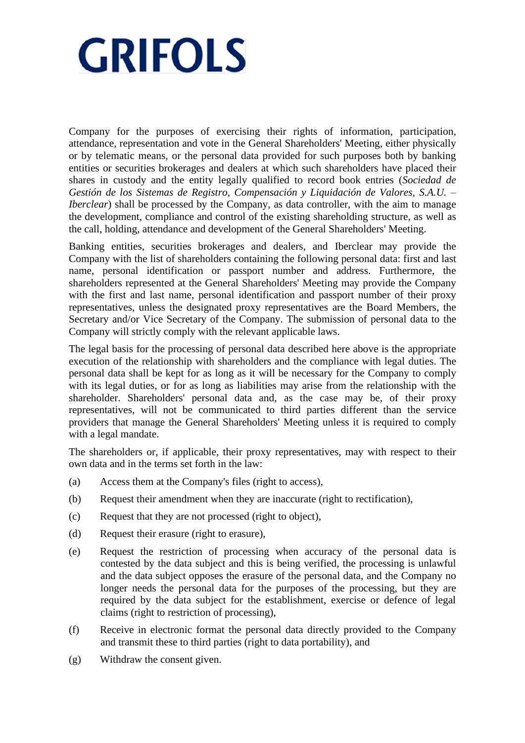Company for the purposes of exercising their rights of information, participation, attendance, representation and vote in the General Shareholders' Meeting, either physically or by telematic means, or the personal data provided for such purposes both by banking entities or securities brokerages and dealers at which such shareholders have placed their shares in custody and the entity legally qualified to record book entries (*Sociedad de Gestión de los Sistemas de Registro, Compensación y Liquidación de Valores, S.A.U. – Iberclear*) shall be processed by the Company, as data controller, with the aim to manage the development, compliance and control of the existing shareholding structure, as well as the call, holding, attendance and development of the General Shareholders' Meeting.

Banking entities, securities brokerages and dealers, and Iberclear may provide the Company with the list of shareholders containing the following personal data: first and last name, personal identification or passport number and address. Furthermore, the shareholders represented at the General Shareholders' Meeting may provide the Company with the first and last name, personal identification and passport number of their proxy representatives, unless the designated proxy representatives are the Board Members, the Secretary and/or Vice Secretary of the Company. The submission of personal data to the Company will strictly comply with the relevant applicable laws.

The legal basis for the processing of personal data described here above is the appropriate execution of the relationship with shareholders and the compliance with legal duties. The personal data shall be kept for as long as it will be necessary for the Company to comply with its legal duties, or for as long as liabilities may arise from the relationship with the shareholder. Shareholders' personal data and, as the case may be, of their proxy representatives, will not be communicated to third parties different than the service providers that manage the General Shareholders' Meeting unless it is required to comply with a legal mandate.

The shareholders or, if applicable, their proxy representatives, may with respect to their own data and in the terms set forth in the law:

- (a) Access them at the Company's files (right to access),
- (b) Request their amendment when they are inaccurate (right to rectification),
- (c) Request that they are not processed (right to object),
- (d) Request their erasure (right to erasure),
- (e) Request the restriction of processing when accuracy of the personal data is contested by the data subject and this is being verified, the processing is unlawful and the data subject opposes the erasure of the personal data, and the Company no longer needs the personal data for the purposes of the processing, but they are required by the data subject for the establishment, exercise or defence of legal claims (right to restriction of processing),
- (f) Receive in electronic format the personal data directly provided to the Company and transmit these to third parties (right to data portability), and
- (g) Withdraw the consent given.